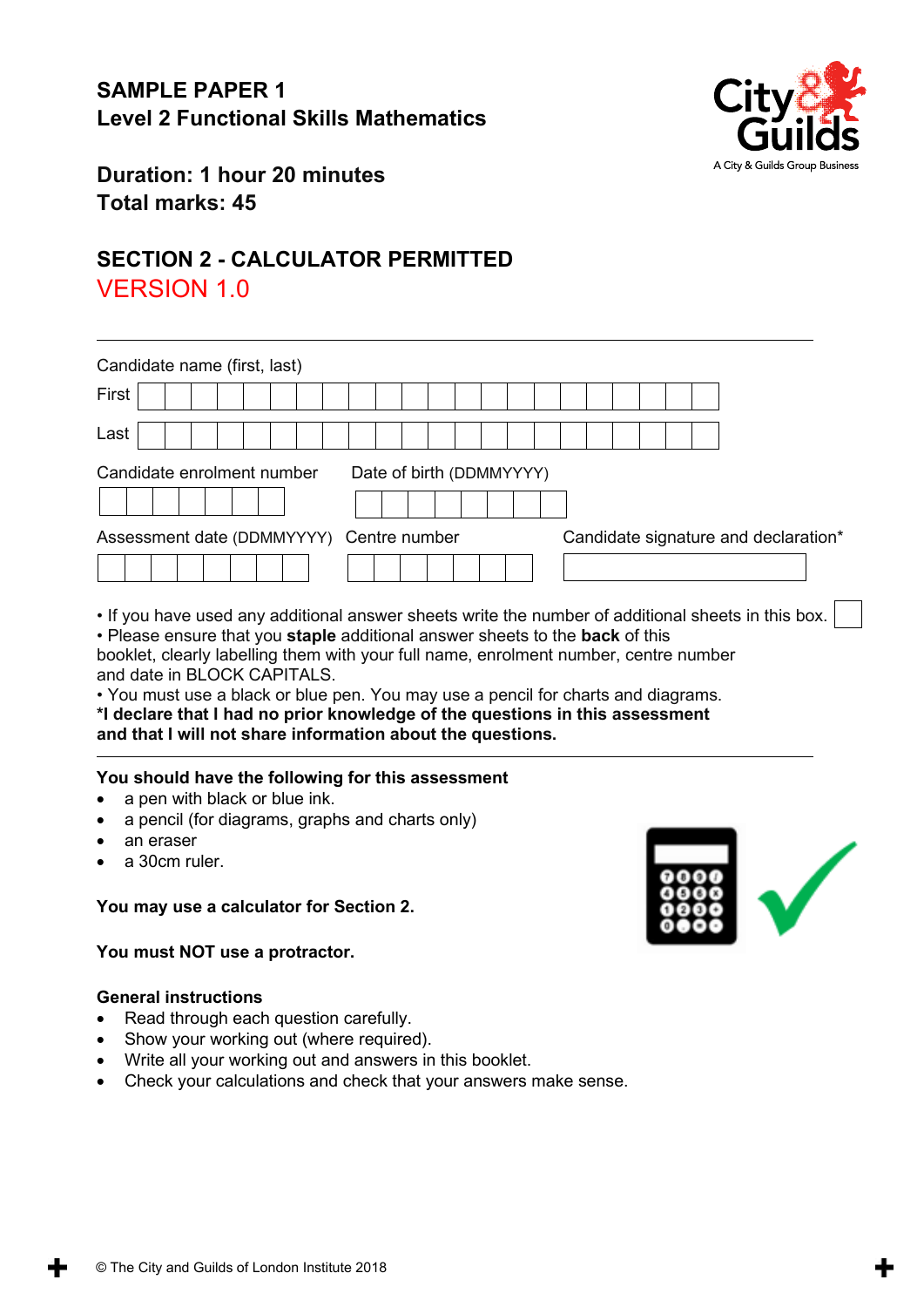

## **Duration: 1 hour 20 minutes Total marks: 45**

# **SECTION 2 - CALCULATOR PERMITTED** VERSION 1.0

| Candidate name (first, last) |                                          |  |  |  |  |  |  |  |  |  |  |                                      |  |  |  |  |  |  |  |  |  |
|------------------------------|------------------------------------------|--|--|--|--|--|--|--|--|--|--|--------------------------------------|--|--|--|--|--|--|--|--|--|
| First                        |                                          |  |  |  |  |  |  |  |  |  |  |                                      |  |  |  |  |  |  |  |  |  |
| Last                         |                                          |  |  |  |  |  |  |  |  |  |  |                                      |  |  |  |  |  |  |  |  |  |
| Candidate enrolment number   |                                          |  |  |  |  |  |  |  |  |  |  | Date of birth (DDMMYYYY)             |  |  |  |  |  |  |  |  |  |
|                              | Assessment date (DDMMYYYY) Centre number |  |  |  |  |  |  |  |  |  |  | Candidate signature and declaration* |  |  |  |  |  |  |  |  |  |

• If you have used any additional answer sheets write the number of additional sheets in this box.

• Please ensure that you **staple** additional answer sheets to the **back** of this

booklet, clearly labelling them with your full name, enrolment number, centre number and date in BLOCK CAPITALS.

- You must use a black or blue pen. You may use a pencil for charts and diagrams.
- **\*I declare that I had no prior knowledge of the questions in this assessment and that I will not share information about the questions.**

#### **You should have the following for this assessment**

- a pen with black or blue ink.
- a pencil (for diagrams, graphs and charts only)
- an eraser
- a 30cm ruler.

#### **You may use a calculator for Section 2.**

**You must NOT use a protractor.**

#### **General instructions**

- Read through each question carefully.
- Show your working out (where required).
- Write all your working out and answers in this booklet.
- Check your calculations and check that your answers make sense.

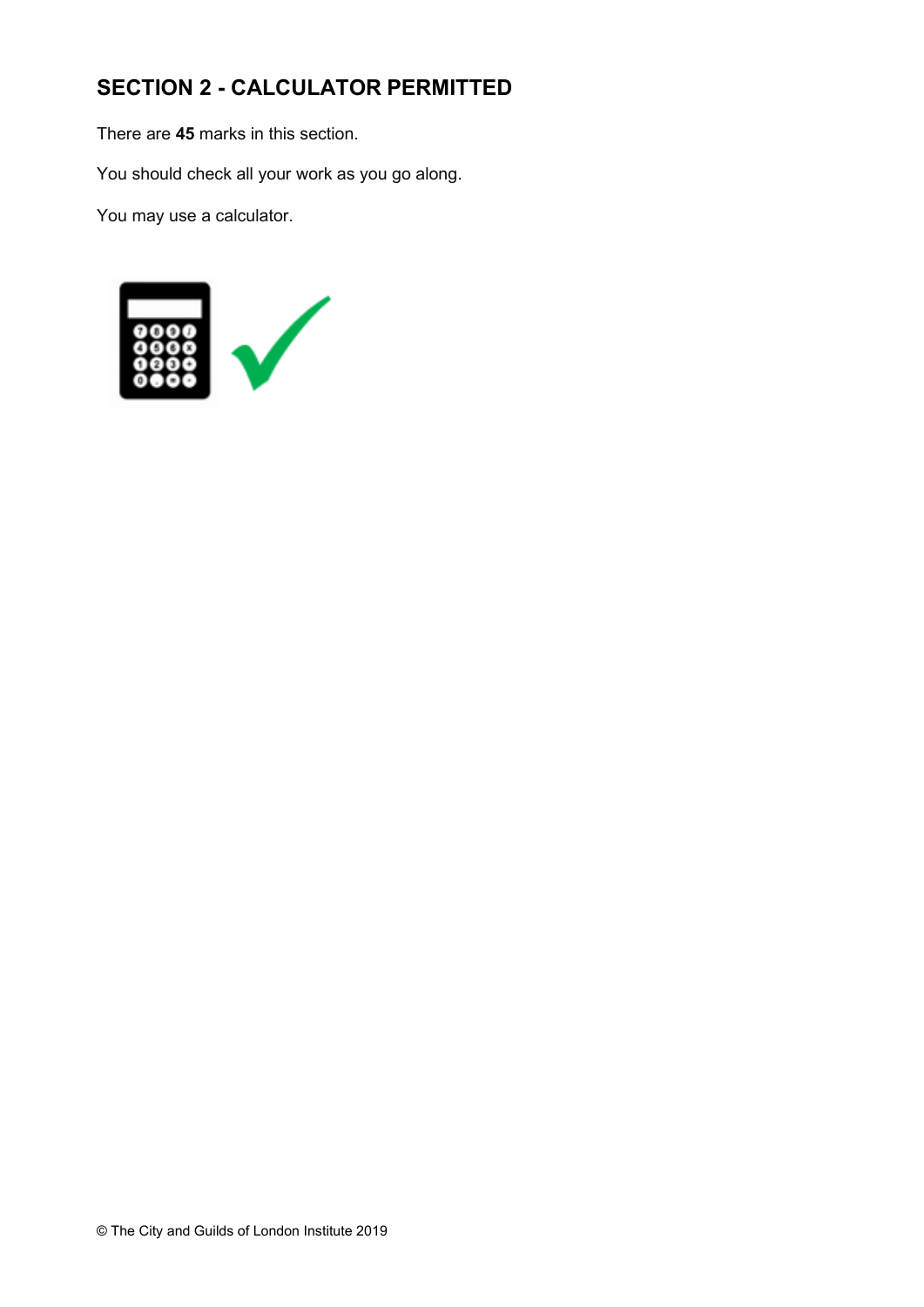# **SECTION 2 - CALCULATOR PERMITTED**

There are **45** marks in this section.

You should check all your work as you go along.

You may use a calculator.

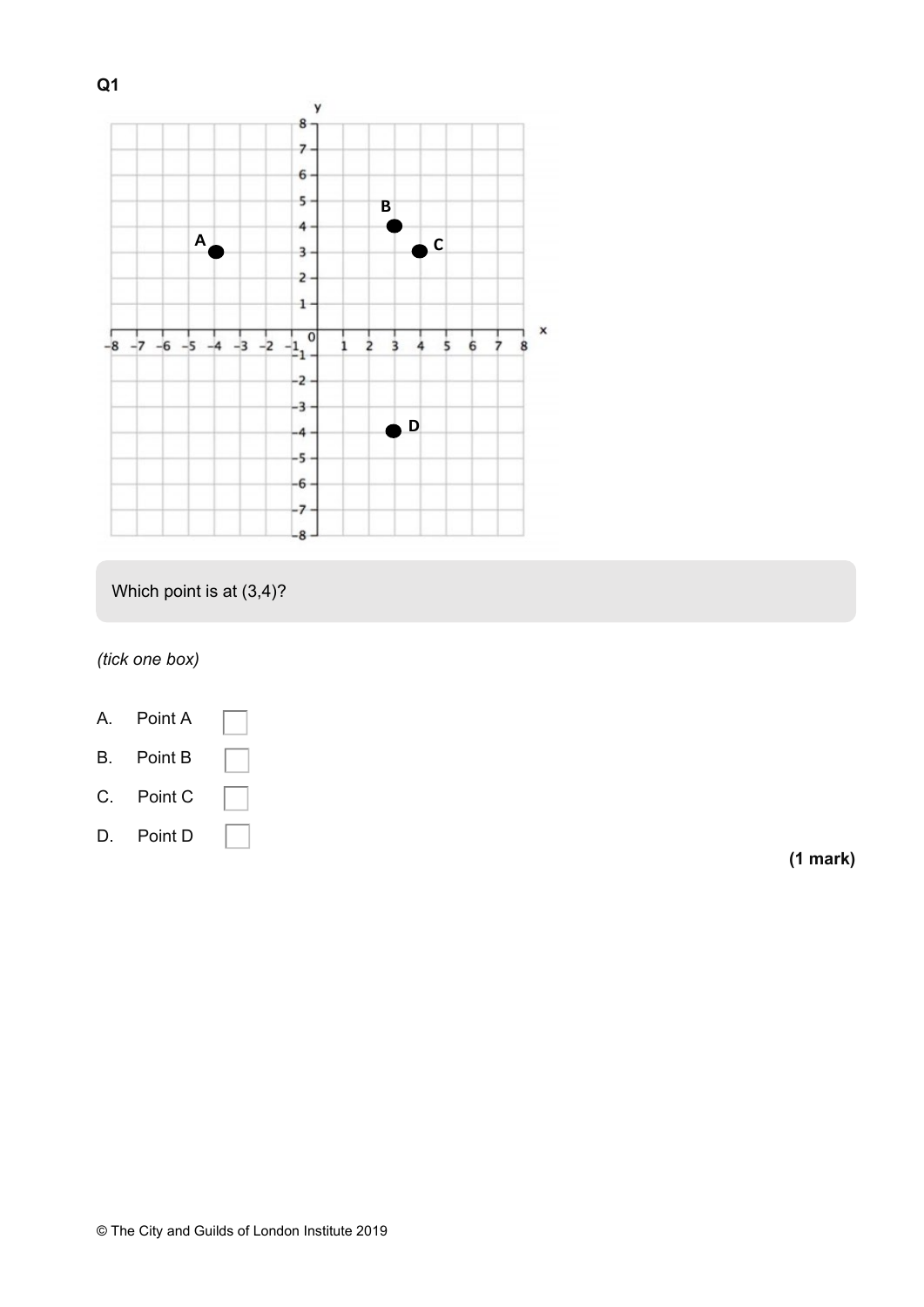

Which point is at (3,4)?

*(tick one box)*



D. Point D

**(1 mark)**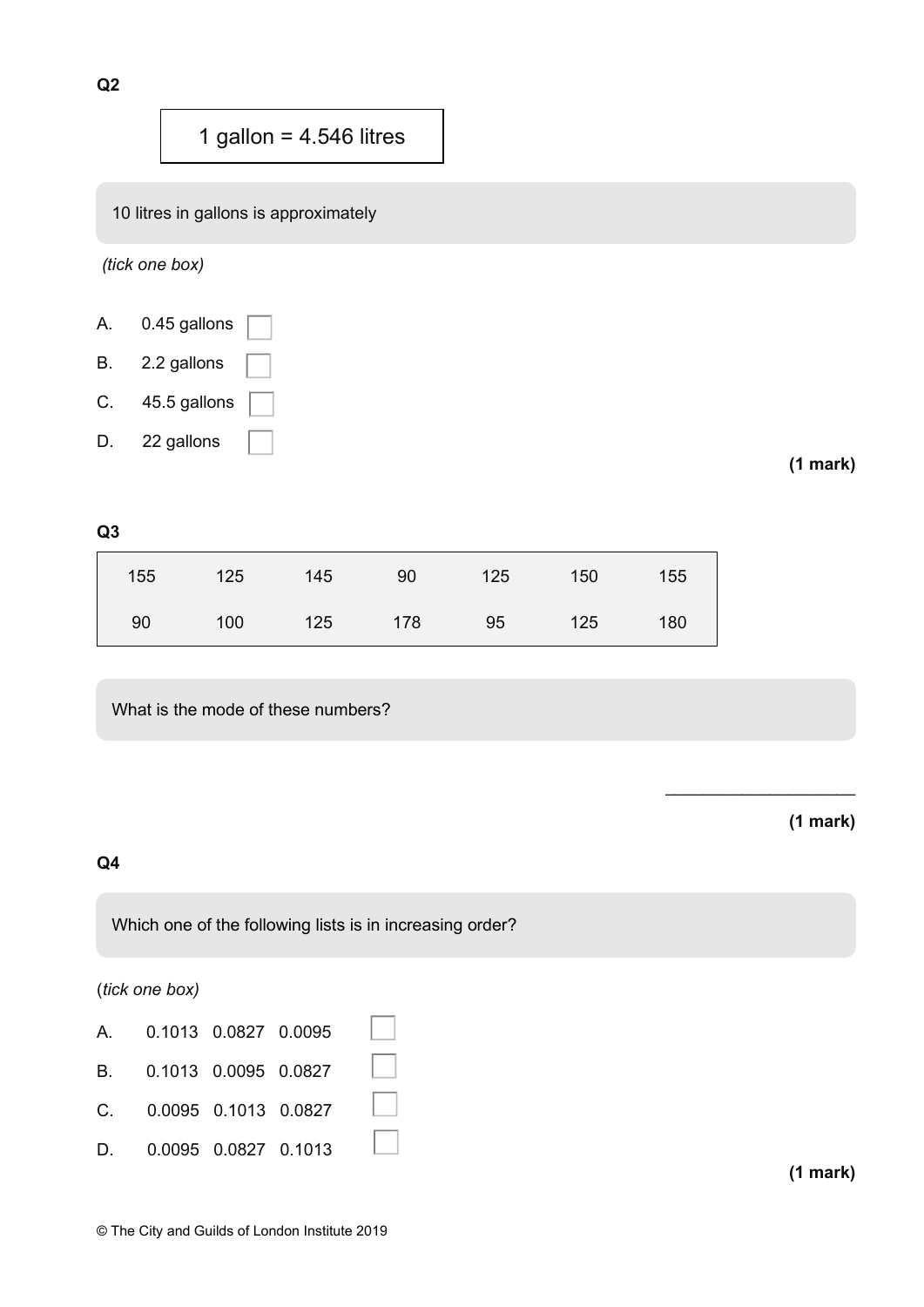

10 litres in gallons is approximately

*(tick one box)*

- A. 0.45 gallons B. 2.2 gallons
- C. 45.5 gallons
- D. 22 gallons

**(1 mark)**

\_\_\_\_\_\_\_\_\_\_\_\_\_\_\_\_\_\_\_\_

**(1 mark)**

## **Q3**

| 155 | 125 | 145 | 90  | 125 | 150 | 155 |
|-----|-----|-----|-----|-----|-----|-----|
| 90  | 100 | 125 | 178 | 95  | 125 | 180 |

What is the mode of these numbers?

#### **Q4**

Which one of the following lists is in increasing order?

### (*tick one box)*

| A. 0.1013 0.0827 0.0095 |                         |  |
|-------------------------|-------------------------|--|
|                         | B. 0.1013 0.0095 0.0827 |  |
|                         | C. 0.0095 0.1013 0.0827 |  |
|                         | D. 0.0095 0.0827 0.1013 |  |

**(1 mark)**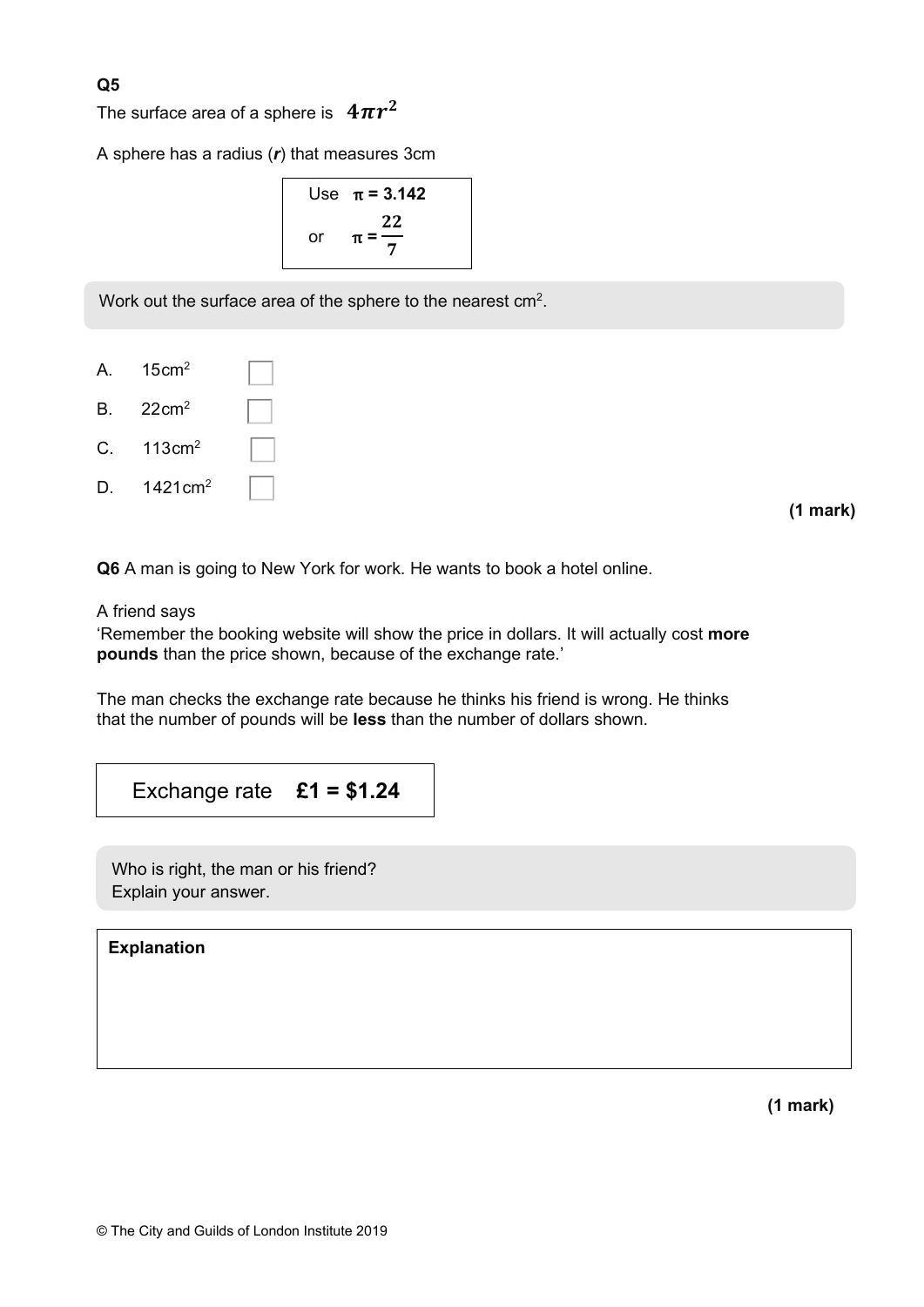The surface area of a sphere is  $4\pi r^2$ 

A sphere has a radius (*r*) that measures 3cm



Work out the surface area of the sphere to the nearest cm<sup>2</sup>.

A. 15cm2 B.  $22 \text{cm}^2$ C. 113cm2 D.  $1421 \text{ cm}^2$ 

#### **(1 mark)**

**Q6** A man is going to New York for work. He wants to book a hotel online.

#### A friend says

'Remember the booking website will show the price in dollars. It will actually cost **more pounds** than the price shown, because of the exchange rate.'

The man checks the exchange rate because he thinks his friend is wrong. He thinks that the number of pounds will be **less** than the number of dollars shown.

```
Exchange rate £1 = $1.24
```
Who is right, the man or his friend? Explain your answer.

**Explanation**

**(1 mark)**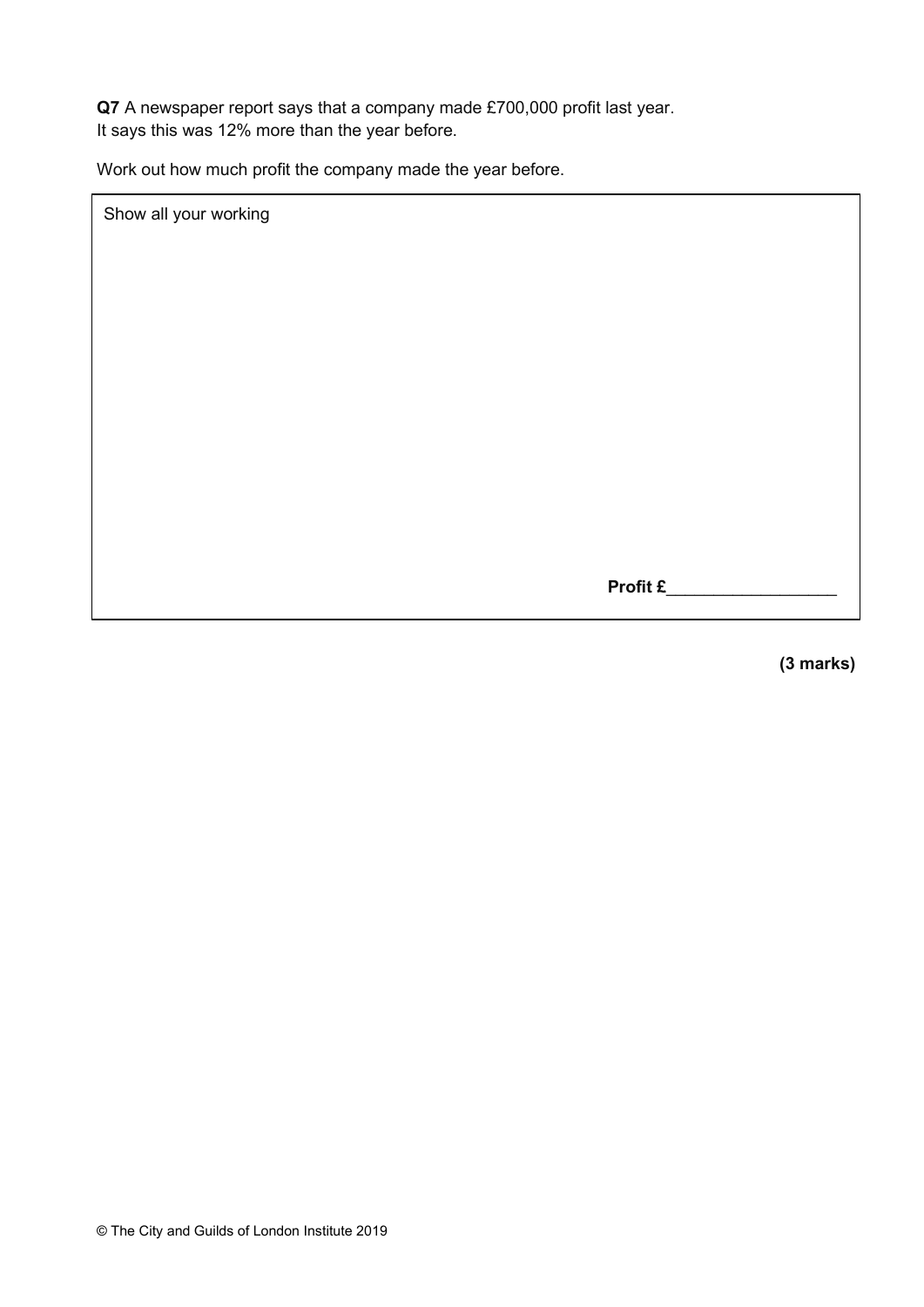**Q7** A newspaper report says that a company made £700,000 profit last year. It says this was 12% more than the year before.

Work out how much profit the company made the year before.

Show all your working

**Profit £**\_\_\_\_\_\_\_\_\_\_\_\_\_\_\_\_\_\_

**(3 marks)**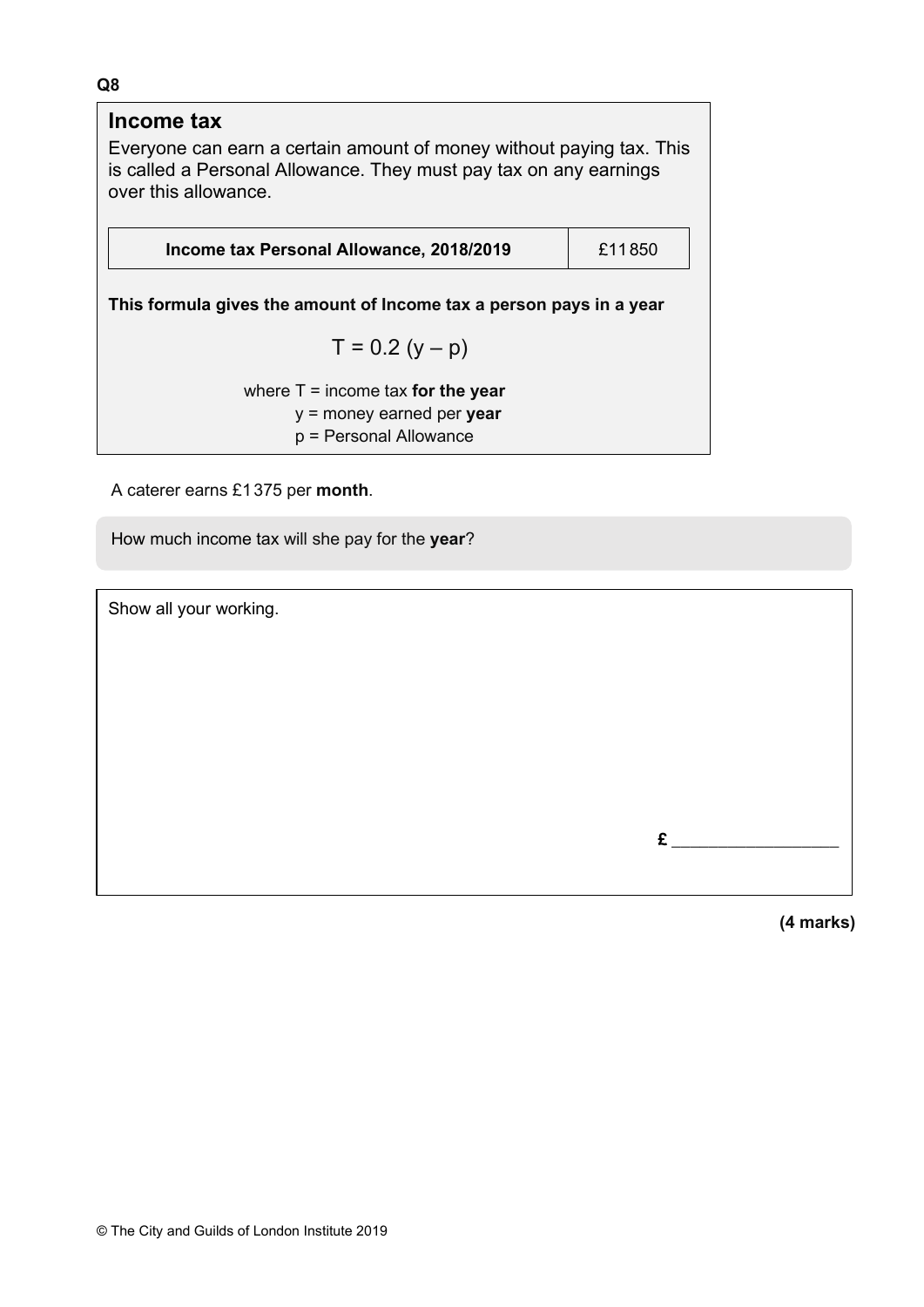## **Income tax**

Everyone can earn a certain amount of money without paying tax. This is called a Personal Allowance. They must pay tax on any earnings over this allowance.

**Income tax Personal Allowance, 2018/2019**  $\qquad$  £11850

**This formula gives the amount of Income tax a person pays in a year**

 $T = 0.2 (y - p)$ 

where T = income tax **for the year**

y = money earned per **year**

p = Personal Allowance

A caterer earns £1375 per **month**.

How much income tax will she pay for the **year**?

Show all your working.

**(4 marks)**

**£** \_\_\_\_\_\_\_\_\_\_\_\_\_\_\_\_\_\_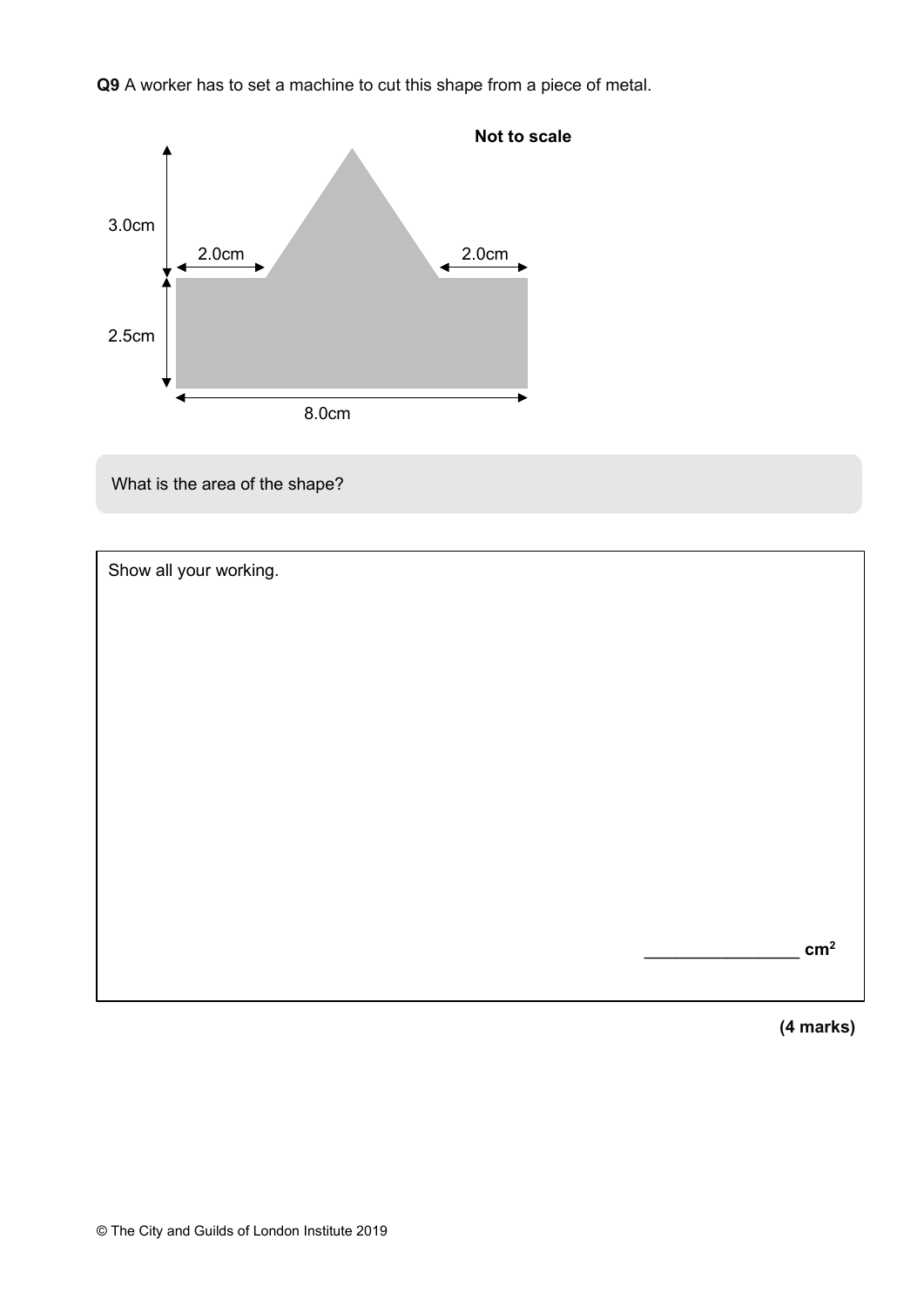**Q9** A worker has to set a machine to cut this shape from a piece of metal.



What is the area of the shape?

| Show all your working. |                 |
|------------------------|-----------------|
|                        |                 |
|                        |                 |
|                        |                 |
|                        |                 |
|                        |                 |
|                        |                 |
|                        |                 |
|                        | cm <sup>2</sup> |
|                        |                 |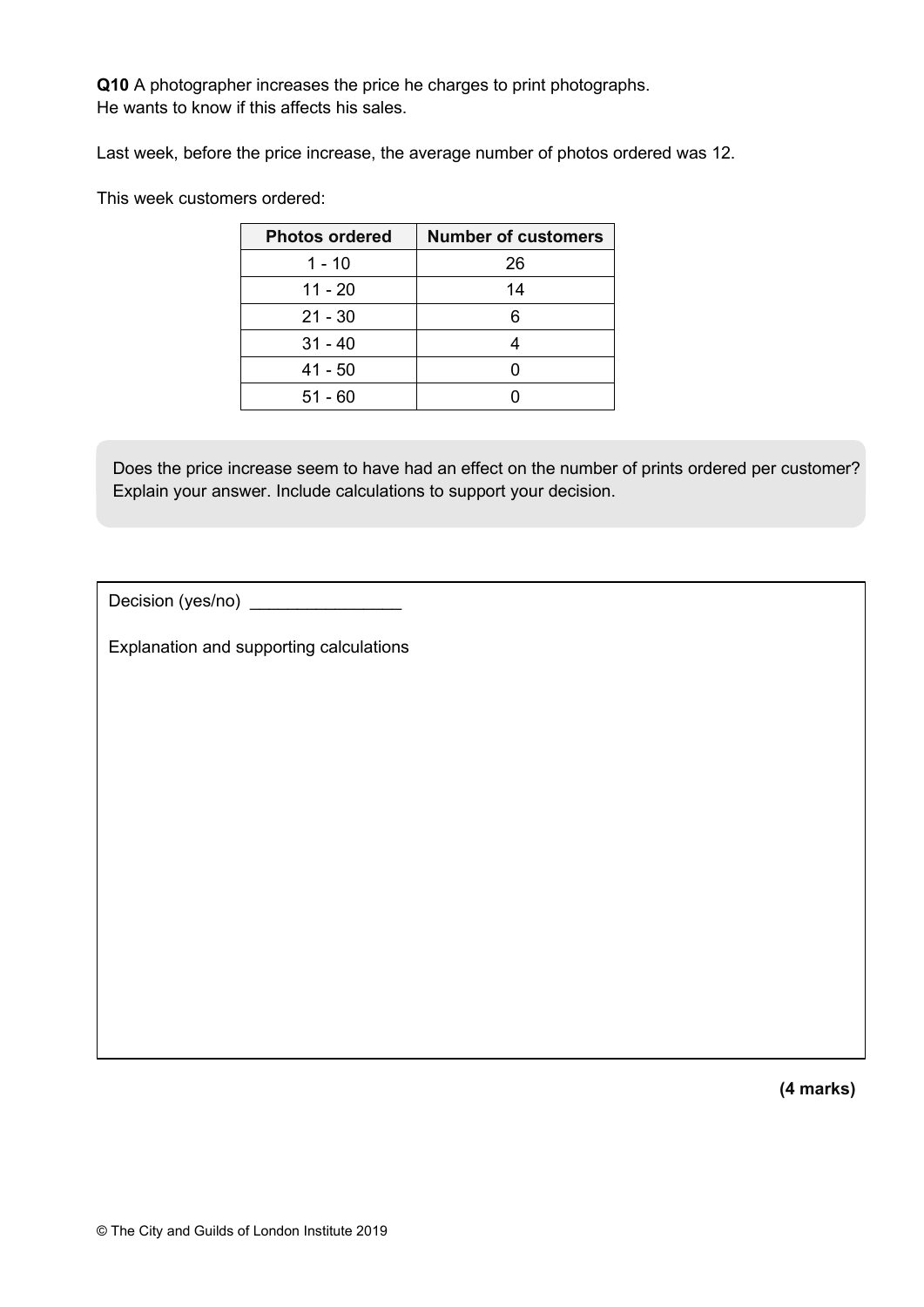**Q10** A photographer increases the price he charges to print photographs. He wants to know if this affects his sales.

Last week, before the price increase, the average number of photos ordered was 12.

This week customers ordered:

| <b>Photos ordered</b> | <b>Number of customers</b> |
|-----------------------|----------------------------|
| $1 - 10$              | 26                         |
| 11 - 20               | 14                         |
| $21 - 30$             |                            |
| $31 - 40$             |                            |
| $41 - 50$             |                            |
| $51 - 60$             |                            |

Does the price increase seem to have had an effect on the number of prints ordered per customer? Explain your answer. Include calculations to support your decision.

Decision (yes/no) \_\_\_\_\_\_\_\_\_\_\_\_\_\_\_\_

Explanation and supporting calculations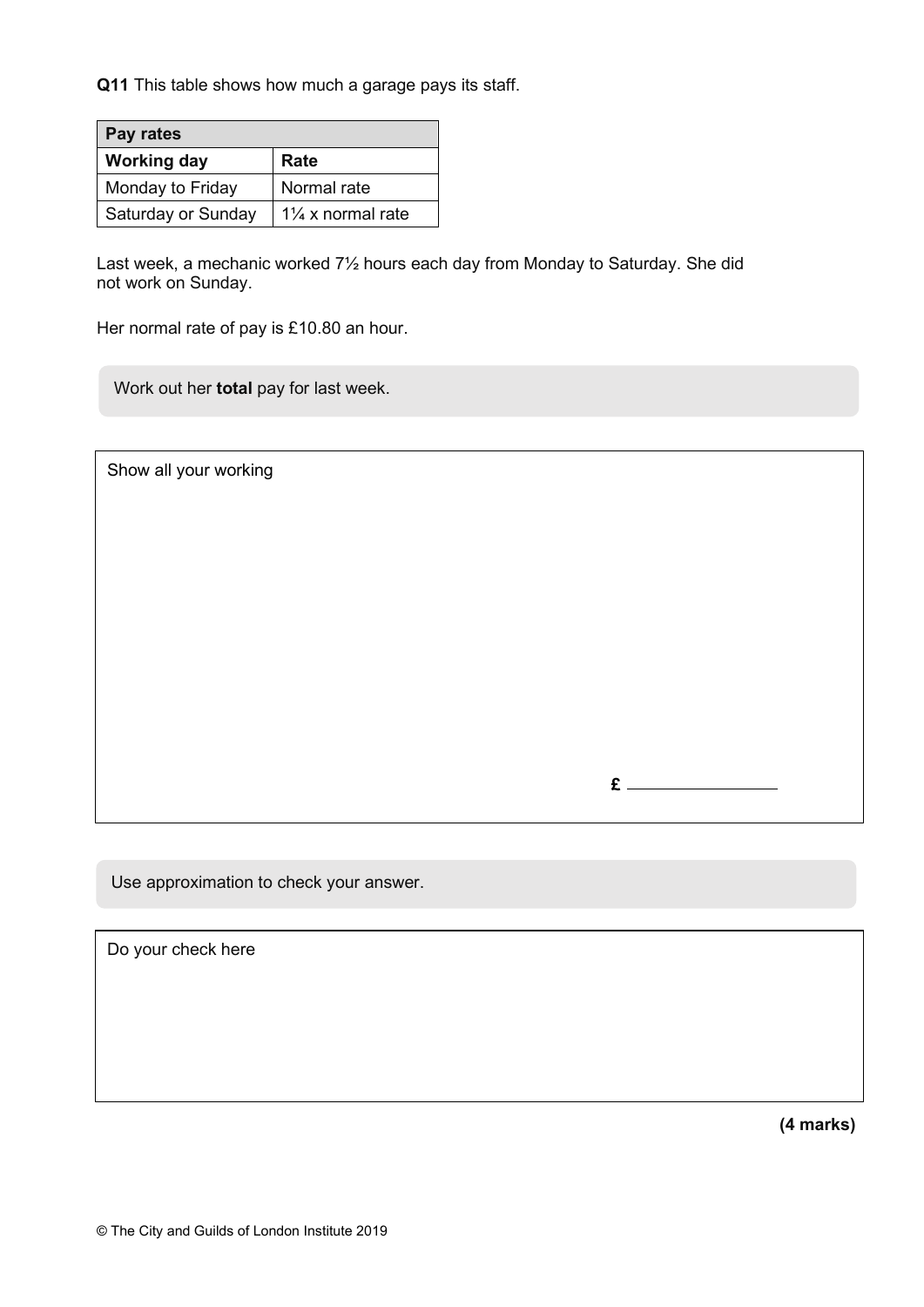**Q11** This table shows how much a garage pays its staff.

| Pay rates          |                              |  |  |  |  |  |  |  |  |
|--------------------|------------------------------|--|--|--|--|--|--|--|--|
| <b>Working day</b> | Rate                         |  |  |  |  |  |  |  |  |
| Monday to Friday   | Normal rate                  |  |  |  |  |  |  |  |  |
| Saturday or Sunday | $1\frac{1}{4}$ x normal rate |  |  |  |  |  |  |  |  |

Last week, a mechanic worked 7½ hours each day from Monday to Saturday. She did not work on Sunday.

Her normal rate of pay is £10.80 an hour.

Work out her **total** pay for last week.

| Show all your working |  |
|-----------------------|--|
|-----------------------|--|

Use approximation to check your answer.

**£**

Do your check here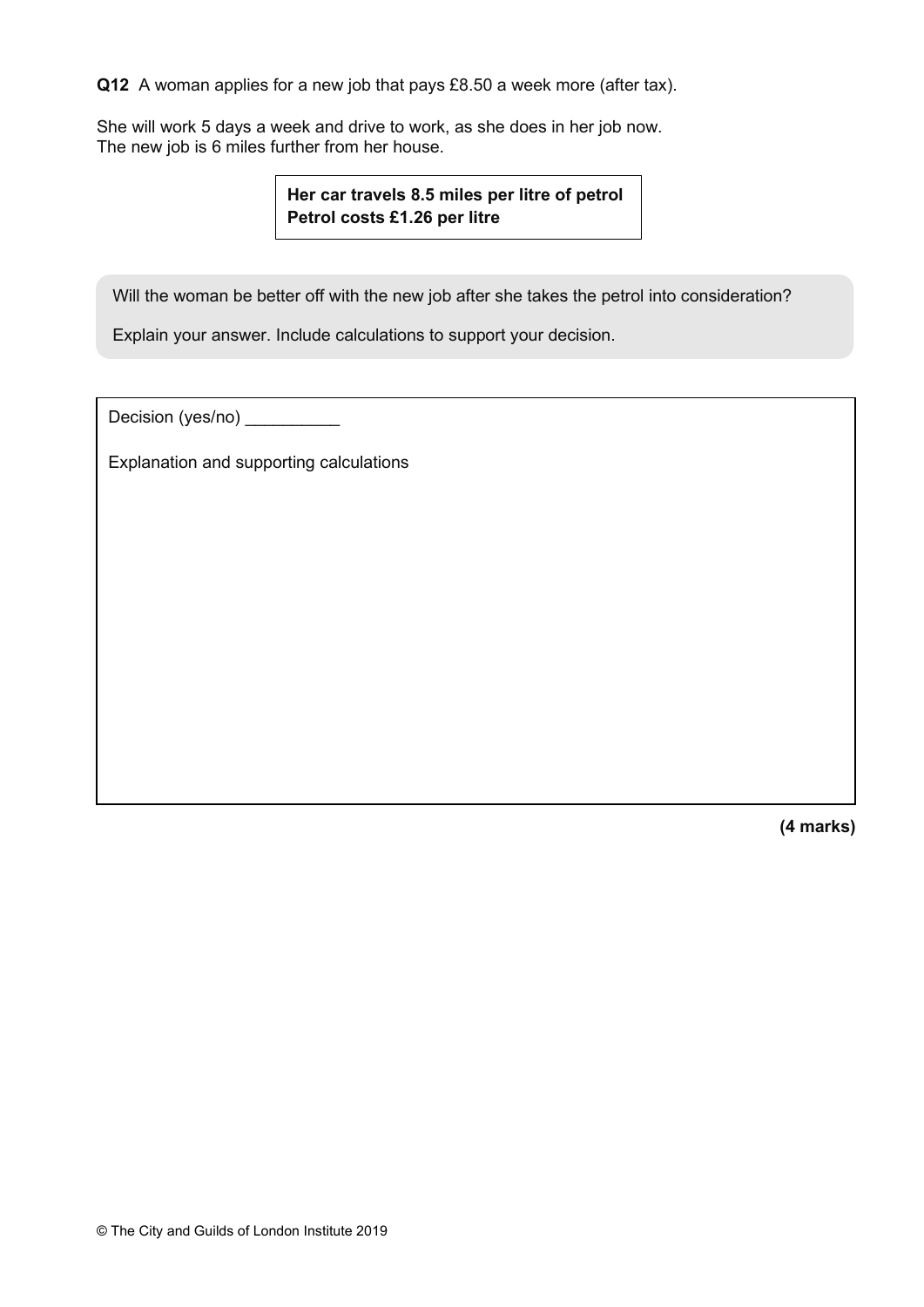**Q12** A woman applies for a new job that pays £8.50 a week more (after tax).

She will work 5 days a week and drive to work, as she does in her job now. The new job is 6 miles further from her house.

## **Her car travels 8.5 miles per litre of petrol Petrol costs £1.26 per litre**

Will the woman be better off with the new job after she takes the petrol into consideration?

Explain your answer. Include calculations to support your decision.

Decision (yes/no)

Explanation and supporting calculations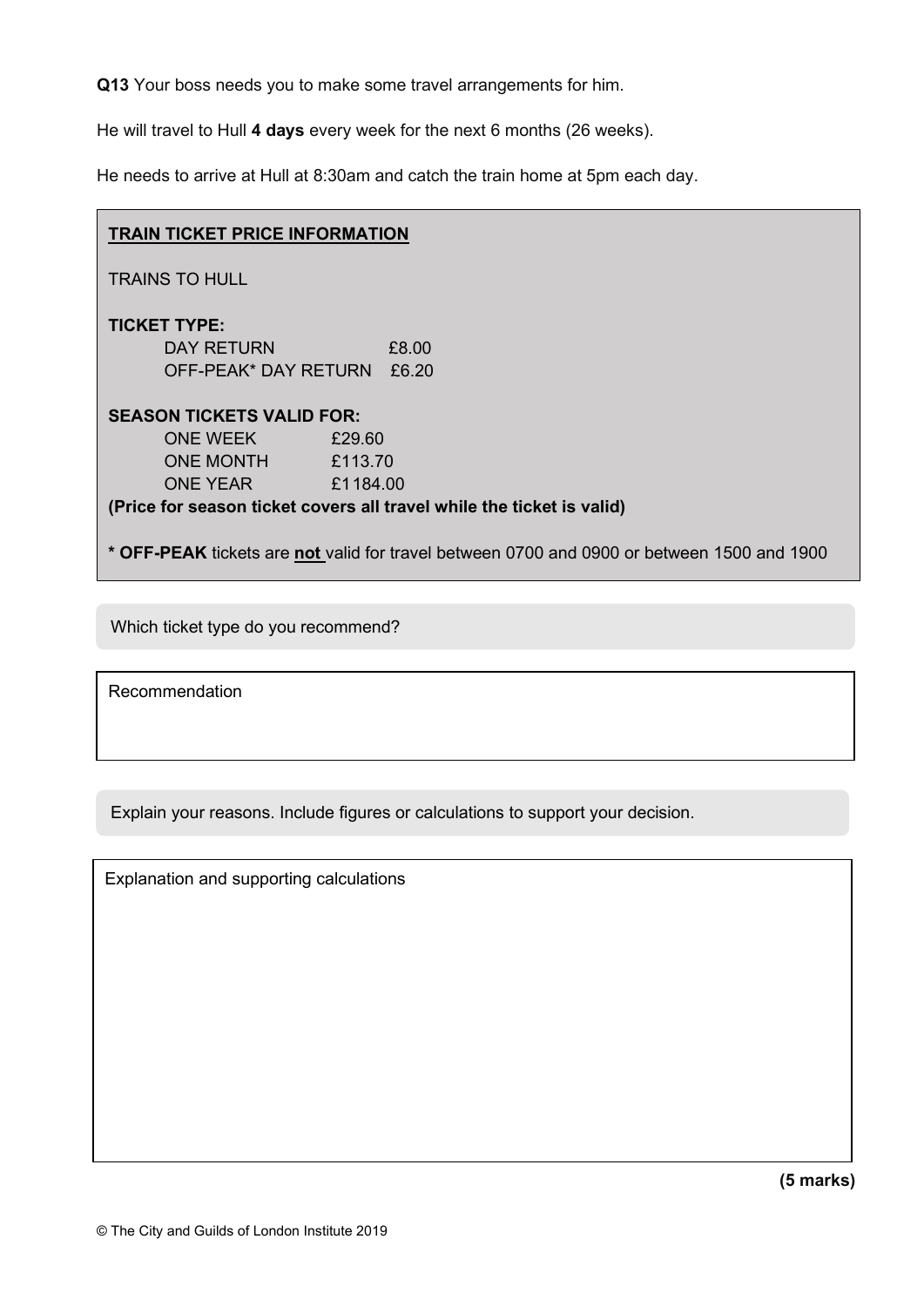**Q13** Your boss needs you to make some travel arrangements for him.

He will travel to Hull **4 days** every week for the next 6 months (26 weeks).

He needs to arrive at Hull at 8:30am and catch the train home at 5pm each day.

| <b>TRAIN TICKET PRICE INFORMATION</b>                                                      |
|--------------------------------------------------------------------------------------------|
| <b>TRAINS TO HULL</b>                                                                      |
| <b>TICKET TYPE:</b><br>DAY RETURN<br>£8.00<br>OFF-PEAK* DAY RETURN<br>£6.20                |
| <b>SEASON TICKETS VALID FOR:</b>                                                           |
| <b>ONE WEEK</b><br>£29.60                                                                  |
| ONE MONTH<br>£113.70                                                                       |
| ONE YEAR<br>£1184.00                                                                       |
| (Price for season ticket covers all travel while the ticket is valid)                      |
| * OFF-PEAK tickets are not valid for travel between 0700 and 0900 or between 1500 and 1900 |

Which ticket type do you recommend?

Recommendation

Explain your reasons. Include figures or calculations to support your decision.

Explanation and supporting calculations

**(5 marks)**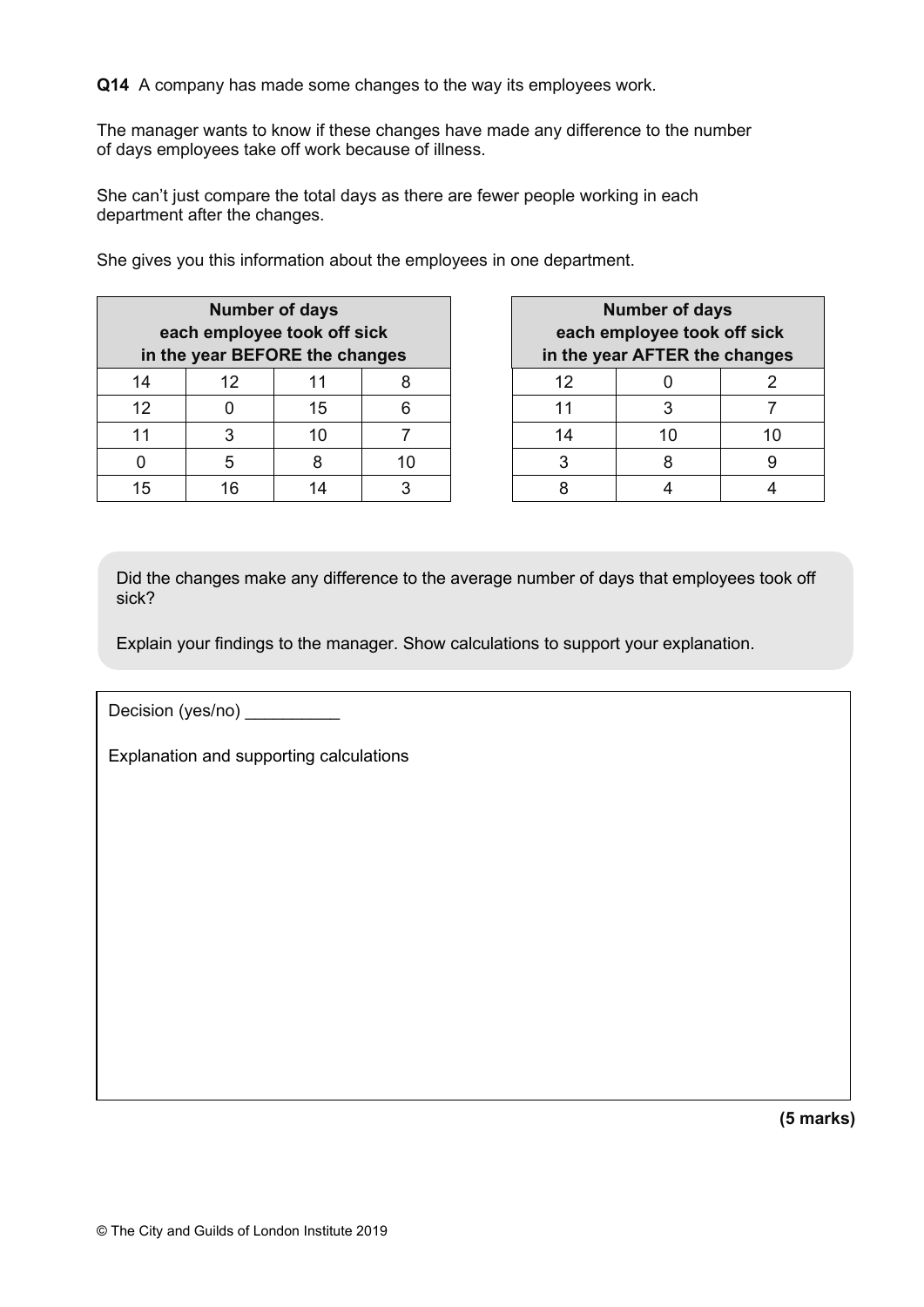**Q14** A company has made some changes to the way its employees work.

The manager wants to know if these changes have made any difference to the number of days employees take off work because of illness.

She can't just compare the total days as there are fewer people working in each department after the changes.

She gives you this information about the employees in one department.

|    | each employee took off sick<br>in the year BEFORE the changes | <b>Number of days</b> |    | <b>Number of days</b><br>each employee took off sick<br>in the year AFTER the change |    |    |
|----|---------------------------------------------------------------|-----------------------|----|--------------------------------------------------------------------------------------|----|----|
| 14 | 12                                                            | 11                    |    |                                                                                      |    |    |
| 12 |                                                               | 15                    |    |                                                                                      |    |    |
|    |                                                               | 10                    |    |                                                                                      | 10 | 10 |
|    | 5                                                             |                       | 10 |                                                                                      |    | 9  |
| 15 | 16                                                            | 14                    |    |                                                                                      |    |    |

**Number of days each employee took off sick in the year AFTER the changes**

Did the changes make any difference to the average number of days that employees took off sick?

Explain your findings to the manager. Show calculations to support your explanation.

Decision (yes/no) \_\_\_\_\_\_\_\_\_\_

Explanation and supporting calculations

**(5 marks)**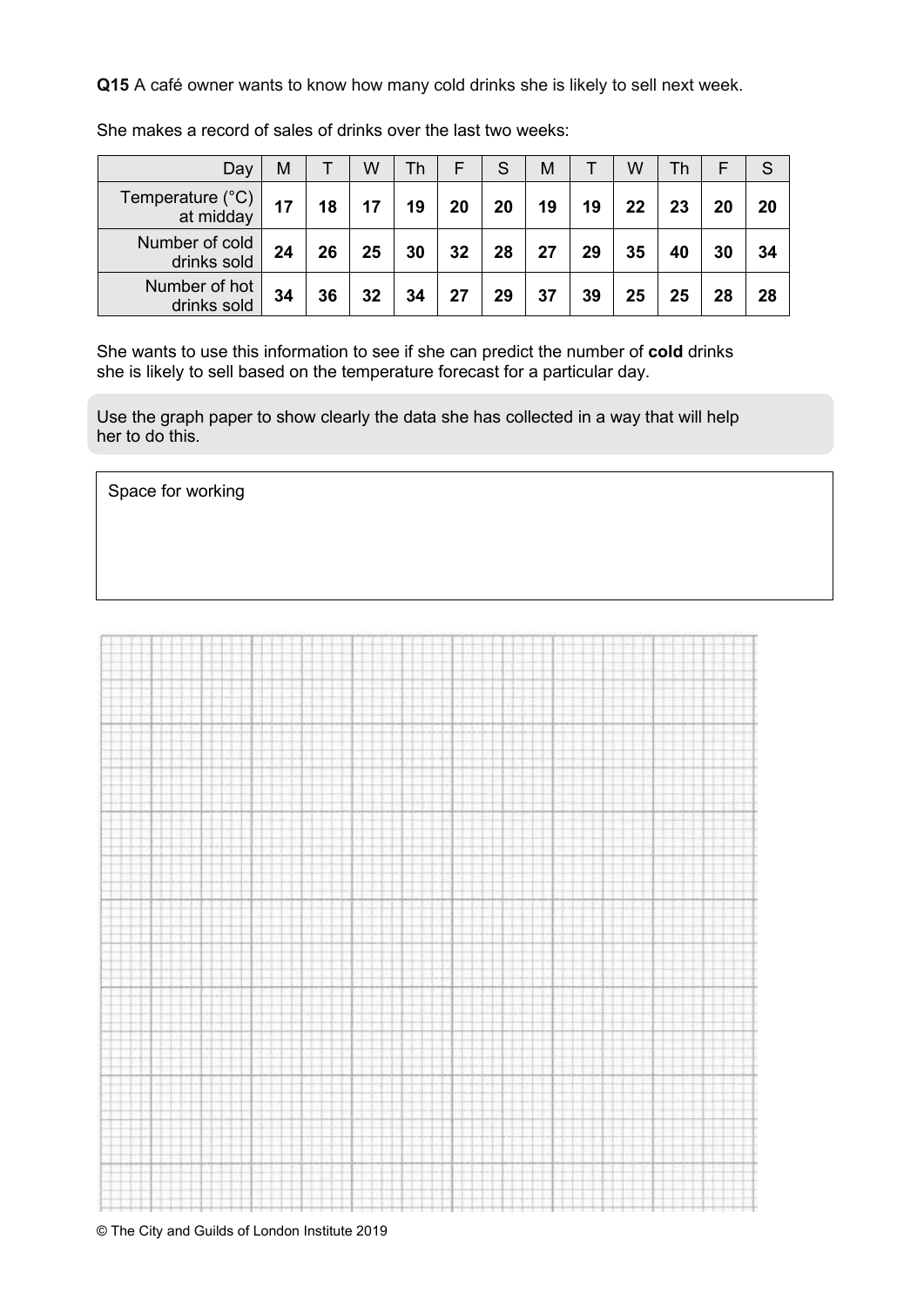**Q15** A café owner wants to know how many cold drinks she is likely to sell next week.

| Day                           | M  |    | w  | Th |    | S  | M  |    | w  |    |    |    |
|-------------------------------|----|----|----|----|----|----|----|----|----|----|----|----|
| Temperature (°C)<br>at midday | 17 | 18 | 17 | 19 | 20 | 20 | 19 | 19 | 22 | 23 | 20 | 20 |
| Number of cold<br>drinks sold | 24 | 26 | 25 | 30 | 32 | 28 | 27 | 29 | 35 | 40 | 30 | 34 |
| Number of hot<br>drinks sold  | 34 | 36 | 32 | 34 | 27 | 29 | 37 | 39 | 25 | 25 | 28 | 28 |

She makes a record of sales of drinks over the last two weeks:

She wants to use this information to see if she can predict the number of **cold** drinks she is likely to sell based on the temperature forecast for a particular day.

Use the graph paper to show clearly the data she has collected in a way that will help her to do this.

Space for working



© The City and Guilds of London Institute 2019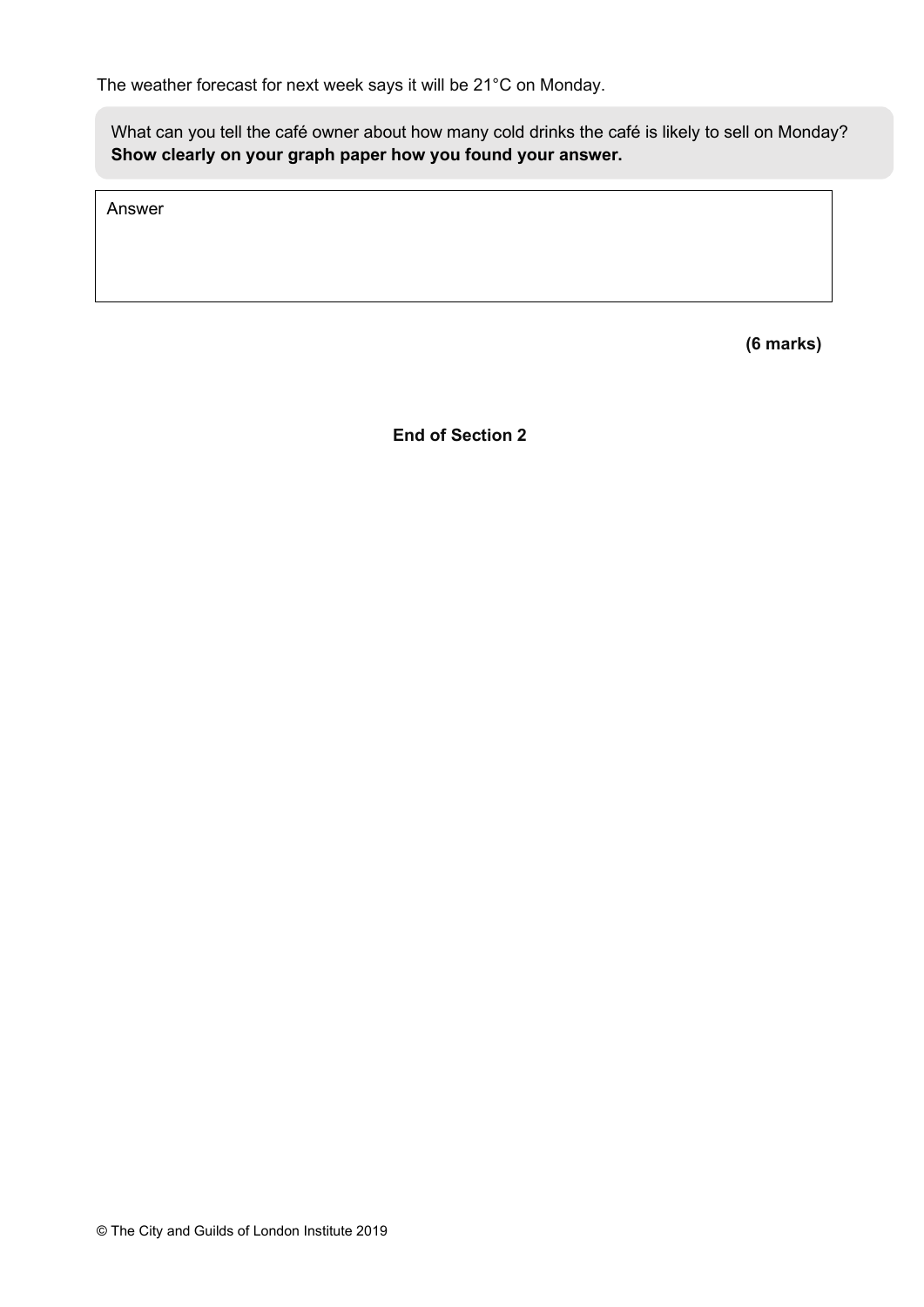The weather forecast for next week says it will be 21°C on Monday.

What can you tell the café owner about how many cold drinks the café is likely to sell on Monday? **Show clearly on your graph paper how you found your answer.** 

Answer

**(6 marks)**

**End of Section 2**